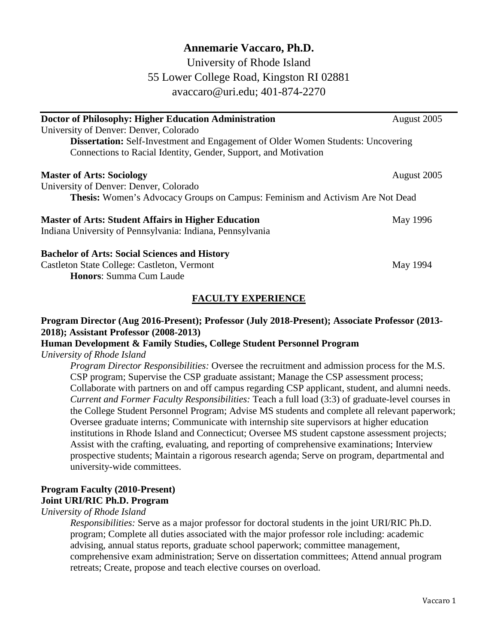# **Annemarie Vaccaro, Ph.D.**

University of Rhode Island 55 Lower College Road, Kingston RI 02881 avaccaro@uri.edu; 401-874-2270

| <b>Doctor of Philosophy: Higher Education Administration</b>                            | August 2005 |
|-----------------------------------------------------------------------------------------|-------------|
| University of Denver: Denver, Colorado                                                  |             |
| <b>Dissertation:</b> Self-Investment and Engagement of Older Women Students: Uncovering |             |
| Connections to Racial Identity, Gender, Support, and Motivation                         |             |
| <b>Master of Arts: Sociology</b>                                                        | August 2005 |
| University of Denver: Denver, Colorado                                                  |             |
| Thesis: Women's Advocacy Groups on Campus: Feminism and Activism Are Not Dead           |             |
| <b>Master of Arts: Student Affairs in Higher Education</b>                              | May 1996    |
| Indiana University of Pennsylvania: Indiana, Pennsylvania                               |             |
| <b>Bachelor of Arts: Social Sciences and History</b>                                    |             |
| Castleton State College: Castleton, Vermont                                             | May 1994    |
| <b>Honors: Summa Cum Laude</b>                                                          |             |

## **FACULTY EXPERIENCE**

### **Program Director (Aug 2016-Present); Professor (July 2018-Present); Associate Professor (2013- 2018); Assistant Professor (2008-2013)**

# **Human Development & Family Studies, College Student Personnel Program**

### *University of Rhode Island*

*Program Director Responsibilities:* Oversee the recruitment and admission process for the M.S. CSP program; Supervise the CSP graduate assistant; Manage the CSP assessment process; Collaborate with partners on and off campus regarding CSP applicant, student, and alumni needs. *Current and Former Faculty Responsibilities:* Teach a full load (3:3) of graduate-level courses in the College Student Personnel Program; Advise MS students and complete all relevant paperwork; Oversee graduate interns; Communicate with internship site supervisors at higher education institutions in Rhode Island and Connecticut; Oversee MS student capstone assessment projects; Assist with the crafting, evaluating, and reporting of comprehensive examinations; Interview prospective students; Maintain a rigorous research agenda; Serve on program, departmental and university-wide committees.

# **Program Faculty (2010-Present) Joint URI/RIC Ph.D. Program**

### *University of Rhode Island*

*Responsibilities:* Serve as a major professor for doctoral students in the joint URI/RIC Ph.D. program; Complete all duties associated with the major professor role including: academic advising, annual status reports, graduate school paperwork; committee management, comprehensive exam administration; Serve on dissertation committees; Attend annual program retreats; Create, propose and teach elective courses on overload.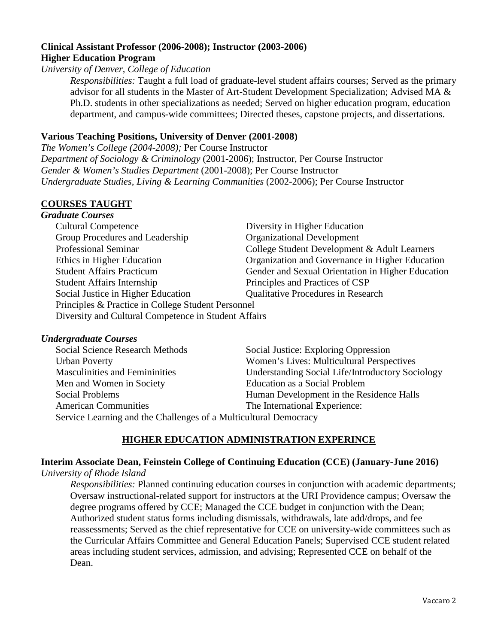### **Clinical Assistant Professor (2006-2008); Instructor (2003-2006) Higher Education Program**

*University of Denver, College of Education*

*Responsibilities:* Taught a full load of graduate-level student affairs courses; Served as the primary advisor for all students in the Master of Art-Student Development Specialization; Advised MA & Ph.D. students in other specializations as needed; Served on higher education program, education department, and campus-wide committees; Directed theses, capstone projects, and dissertations.

## **Various Teaching Positions, University of Denver (2001-2008)**

*The Women's College (2004-2008);* Per Course Instructor *Department of Sociology & Criminology* (2001-2006); Instructor, Per Course Instructor *Gender & Women's Studies Department* (2001-2008); Per Course Instructor *Undergraduate Studies, Living & Learning Communities* (2002-2006); Per Course Instructor

# **COURSES TAUGHT**

### *Graduate Courses*

| nnnn Compo                                           |                                                   |  |
|------------------------------------------------------|---------------------------------------------------|--|
| <b>Cultural Competence</b>                           | Diversity in Higher Education                     |  |
| Group Procedures and Leadership                      | <b>Organizational Development</b>                 |  |
| <b>Professional Seminar</b>                          | College Student Development & Adult Learners      |  |
| Ethics in Higher Education                           | Organization and Governance in Higher Education   |  |
| <b>Student Affairs Practicum</b>                     | Gender and Sexual Orientation in Higher Education |  |
| <b>Student Affairs Internship</b>                    | Principles and Practices of CSP                   |  |
| Social Justice in Higher Education                   | <b>Qualitative Procedures in Research</b>         |  |
| Principles & Practice in College Student Personnel   |                                                   |  |
| Diversity and Cultural Competence in Student Affairs |                                                   |  |
|                                                      |                                                   |  |

### *Undergraduate Courses*

| <b>Social Science Research Methods</b>                           | Social Justice: Exploring Oppression             |  |
|------------------------------------------------------------------|--------------------------------------------------|--|
| <b>Urban Poverty</b>                                             | Women's Lives: Multicultural Perspectives        |  |
| <b>Masculinities and Femininities</b>                            | Understanding Social Life/Introductory Sociology |  |
| Men and Women in Society                                         | <b>Education as a Social Problem</b>             |  |
| Social Problems                                                  | Human Development in the Residence Halls         |  |
| <b>American Communities</b>                                      | The International Experience:                    |  |
| Service Learning and the Challenges of a Multicultural Democracy |                                                  |  |

## **HIGHER EDUCATION ADMINISTRATION EXPERINCE**

## **Interim Associate Dean, Feinstein College of Continuing Education (CCE) (January-June 2016)**

#### *University of Rhode Island*

*Responsibilities:* Planned continuing education courses in conjunction with academic departments; Oversaw instructional-related support for instructors at the URI Providence campus; Oversaw the degree programs offered by CCE; Managed the CCE budget in conjunction with the Dean; Authorized student status forms including dismissals, withdrawals, late add/drops, and fee reassessments; Served as the chief representative for CCE on university-wide committees such as the Curricular Affairs Committee and General Education Panels; Supervised CCE student related areas including student services, admission, and advising; Represented CCE on behalf of the Dean.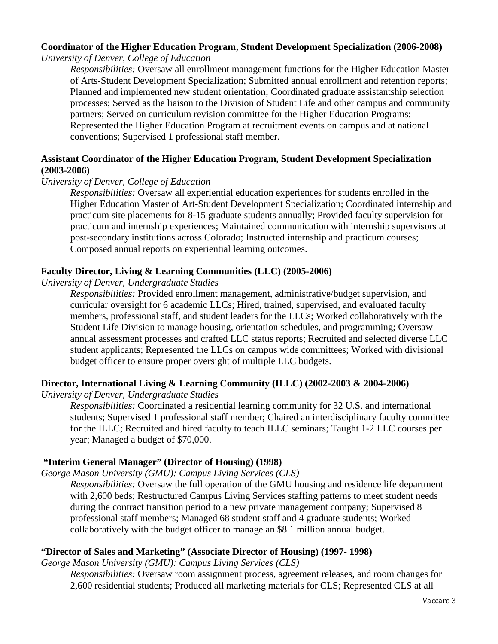# **Coordinator of the Higher Education Program, Student Development Specialization (2006-2008)**

*University of Denver, College of Education* 

*Responsibilities:* Oversaw all enrollment management functions for the Higher Education Master of Arts-Student Development Specialization; Submitted annual enrollment and retention reports; Planned and implemented new student orientation; Coordinated graduate assistantship selection processes; Served as the liaison to the Division of Student Life and other campus and community partners; Served on curriculum revision committee for the Higher Education Programs; Represented the Higher Education Program at recruitment events on campus and at national conventions; Supervised 1 professional staff member.

### **Assistant Coordinator of the Higher Education Program, Student Development Specialization (2003-2006)**

### *University of Denver, College of Education*

*Responsibilities:* Oversaw all experiential education experiences for students enrolled in the Higher Education Master of Art-Student Development Specialization; Coordinated internship and practicum site placements for 8-15 graduate students annually; Provided faculty supervision for practicum and internship experiences; Maintained communication with internship supervisors at post-secondary institutions across Colorado; Instructed internship and practicum courses; Composed annual reports on experiential learning outcomes.

### **Faculty Director, Living & Learning Communities (LLC) (2005-2006)**

*University of Denver, Undergraduate Studies*

*Responsibilities:* Provided enrollment management, administrative/budget supervision, and curricular oversight for 6 academic LLCs; Hired, trained, supervised, and evaluated faculty members, professional staff, and student leaders for the LLCs; Worked collaboratively with the Student Life Division to manage housing, orientation schedules, and programming; Oversaw annual assessment processes and crafted LLC status reports; Recruited and selected diverse LLC student applicants; Represented the LLCs on campus wide committees; Worked with divisional budget officer to ensure proper oversight of multiple LLC budgets.

## **Director, International Living & Learning Community (ILLC) (2002-2003 & 2004-2006)**

*University of Denver, Undergraduate Studies* 

*Responsibilities:* Coordinated a residential learning community for 32 U.S. and international students; Supervised 1 professional staff member; Chaired an interdisciplinary faculty committee for the ILLC; Recruited and hired faculty to teach ILLC seminars; Taught 1-2 LLC courses per year; Managed a budget of \$70,000.

## **"Interim General Manager" (Director of Housing) (1998)**

*George Mason University (GMU): Campus Living Services (CLS)*

*Responsibilities:* Oversaw the full operation of the GMU housing and residence life department with 2,600 beds; Restructured Campus Living Services staffing patterns to meet student needs during the contract transition period to a new private management company; Supervised 8 professional staff members; Managed 68 student staff and 4 graduate students; Worked collaboratively with the budget officer to manage an \$8.1 million annual budget.

## **"Director of Sales and Marketing" (Associate Director of Housing) (1997- 1998)**

*George Mason University (GMU): Campus Living Services (CLS)*

*Responsibilities:* Oversaw room assignment process, agreement releases, and room changes for 2,600 residential students; Produced all marketing materials for CLS; Represented CLS at all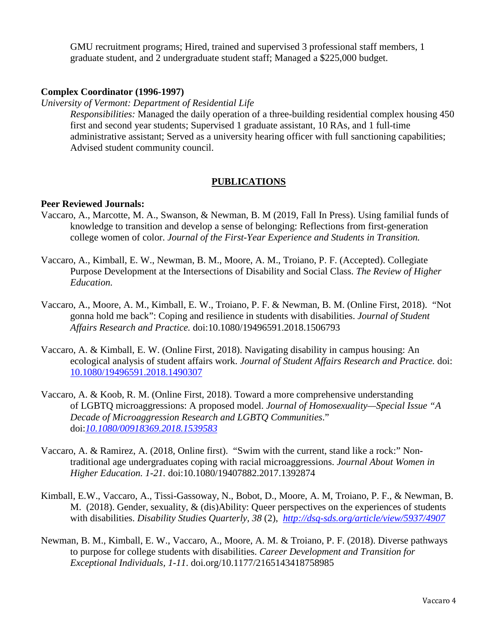GMU recruitment programs; Hired, trained and supervised 3 professional staff members, 1 graduate student, and 2 undergraduate student staff; Managed a \$225,000 budget.

#### **Complex Coordinator (1996-1997)**

*University of Vermont: Department of Residential Life*

*Responsibilities:* Managed the daily operation of a three-building residential complex housing 450 first and second year students; Supervised 1 graduate assistant, 10 RAs, and 1 full-time administrative assistant; Served as a university hearing officer with full sanctioning capabilities; Advised student community council.

### **PUBLICATIONS**

#### **Peer Reviewed Journals:**

- Vaccaro, A., Marcotte, M. A., Swanson, & Newman, B. M (2019, Fall In Press). Using familial funds of knowledge to transition and develop a sense of belonging: Reflections from first-generation college women of color. *Journal of the First-Year Experience and Students in Transition.*
- Vaccaro, A., Kimball, E. W., Newman, B. M., Moore, A. M., Troiano, P. F. (Accepted). Collegiate Purpose Development at the Intersections of Disability and Social Class. *The Review of Higher Education.*
- Vaccaro, A., Moore, A. M., Kimball, E. W., Troiano, P. F. & Newman, B. M. (Online First, 2018). "Not gonna hold me back": Coping and resilience in students with disabilities. *Journal of Student Affairs Research and Practice.* doi:10.1080/19496591.2018.1506793
- Vaccaro, A. & Kimball, E. W. (Online First, 2018). Navigating disability in campus housing: An ecological analysis of student affairs work. *Journal of Student Affairs Research and Practice.* doi: [10.1080/19496591.2018.1490307](https://doi-org.uri.idm.oclc.org/10.1080/19496591.2018.1490307)
- Vaccaro, A. & Koob, R. M. (Online First, 2018). Toward a more comprehensive understanding of LGBTQ microaggressions: A proposed model. *Journal of Homosexuality—Special Issue "A Decade of Microaggression Research and LGBTQ Communities*." doi:*[10.1080/00918369.2018.1539583](https://www-tandfonline-com.uri.idm.oclc.org/doi/abs/10.1080/00918369.2018.1539583)*
- Vaccaro, A. & Ramirez, A. (2018, Online first). "Swim with the current, stand like a rock:" Nontraditional age undergraduates coping with racial microaggressions. *Journal About Women in Higher Education. 1-21.* doi:10.1080/19407882.2017.1392874
- Kimball, E.W., Vaccaro, A., Tissi-Gassoway, N., Bobot, D., Moore, A. M, Troiano, P. F., & Newman, B. M. (2018). Gender, sexuality, & (dis)Ability: Queer perspectives on the experiences of students with disabilities. *Disability Studies Quarterly, 38* (2), *<http://dsq-sds.org/article/view/5937/4907>*
- Newman, B. M., Kimball, E. W., Vaccaro, A., Moore, A. M. & Troiano, P. F. (2018). Diverse pathways to purpose for college students with disabilities. *Career Development and Transition for Exceptional Individuals, 1-11*. doi.org/10.1177/2165143418758985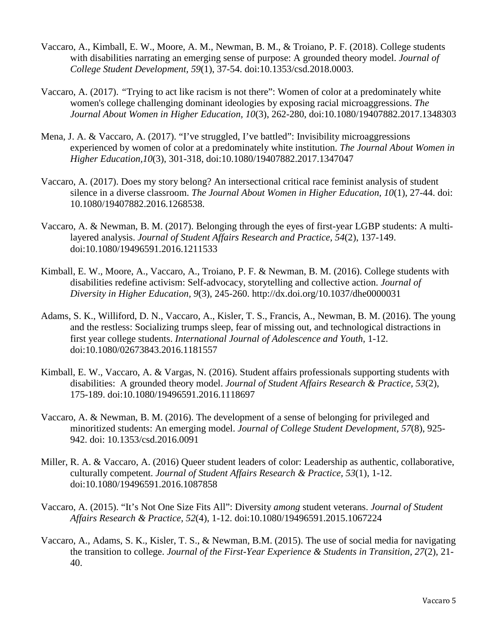- Vaccaro, A., Kimball, E. W., Moore, A. M., Newman, B. M., & Troiano, P. F. (2018). College students with disabilities narrating an emerging sense of purpose: A grounded theory model. *Journal of College Student Development, 59*(1), 37-54. doi:10.1353/csd.2018.0003.
- Vaccaro, A. (2017). *"*Trying to act like racism is not there": Women of color at a predominately white women's college challenging dominant ideologies by exposing racial microaggressions. *The Journal About Women in Higher Education, 10*(3), 262-280, doi:10.1080/19407882.2017.1348303
- Mena, J. A. & Vaccaro, A. (2017). "I've struggled, I've battled": Invisibility microaggressions experienced by women of color at a predominately white institution. *The Journal About Women in Higher Education,10*(3), 301-318, doi:10.1080/19407882.2017.1347047
- Vaccaro, A. (2017). Does my story belong? An intersectional critical race feminist analysis of student silence in a diverse classroom. *The Journal About Women in Higher Education, 10*(1), 27-44. doi: 10.1080/19407882.2016.1268538.
- Vaccaro, A. & Newman, B. M. (2017). Belonging through the eyes of first-year LGBP students: A multilayered analysis. *Journal of Student Affairs Research and Practice, 54*(2), 137-149. doi:10.1080/19496591.2016.1211533
- Kimball, E. W., Moore, A., Vaccaro, A., Troiano, P. F. & Newman, B. M. (2016). College students with disabilities redefine activism: Self-advocacy, storytelling and collective action. *Journal of Diversity in Higher Education, 9*(3), 245-260. http://dx.doi.org/10.1037/dhe0000031
- Adams, S. K., Williford, D. N., Vaccaro, A., Kisler, T. S., Francis, A., Newman, B. M. (2016). The young and the restless: Socializing trumps sleep, fear of missing out, and technological distractions in first year college students. *International Journal of Adolescence and Youth,* 1-12. doi:10.1080/02673843.2016.1181557
- Kimball, E. W., Vaccaro, A. & Vargas, N. (2016). Student affairs professionals supporting students with disabilities: A grounded theory model. *Journal of Student Affairs Research & Practice, 53*(2), 175-189. doi:10.1080/19496591.2016.1118697
- Vaccaro, A. & Newman, B. M. (2016). The development of a sense of belonging for privileged and minoritized students: An emerging model. *Journal of College Student Development, 57*(8), 925- 942. doi: 10.1353/csd.2016.0091
- Miller, R. A. & Vaccaro, A. (2016) Queer student leaders of color: Leadership as authentic, collaborative, culturally competent. *Journal of Student Affairs Research & Practice, 53*(1), 1-12. doi:10.1080/19496591.2016.1087858
- Vaccaro, A. (2015). "It's Not One Size Fits All": Diversity *among* student veterans. *Journal of Student Affairs Research & Practice, 52*(4), 1-12. doi:10.1080/19496591.2015.1067224
- Vaccaro, A., Adams, S. K., Kisler, T. S., & Newman, B.M. (2015). The use of social media for navigating the transition to college. *Journal of the First-Year Experience & Students in Transition, 27*(2), 21- 40.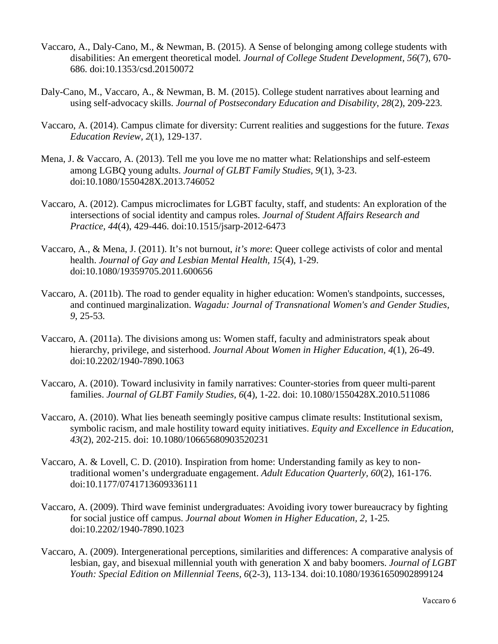- Vaccaro, A., Daly-Cano, M., & Newman, B. (2015). A Sense of belonging among college students with disabilities: An emergent theoretical model*. Journal of College Student Development, 56*(7), 670- 686. doi:10.1353/csd.20150072
- Daly-Cano, M., Vaccaro, A., & Newman, B. M. (2015). College student narratives about learning and using self-advocacy skills. *Journal of Postsecondary Education and Disability*, *28*(2), 209-223*.*
- Vaccaro, A. (2014). Campus climate for diversity: Current realities and suggestions for the future. *Texas Education Review, 2*(1), 129-137.
- Mena, J. & Vaccaro, A. (2013). Tell me you love me no matter what: Relationships and self-esteem among LGBQ young adults. *Journal of GLBT Family Studies, 9*(1), 3-23. doi:10.1080/1550428X.2013.746052
- Vaccaro, A. (2012). Campus microclimates for LGBT faculty, staff, and students: An exploration of the intersections of social identity and campus roles. *Journal of Student Affairs Research and Practice, 44*(4), 429-446. doi:10.1515/jsarp-2012-6473
- Vaccaro, A., & Mena, J. (2011). It's not burnout, *it's more*: Queer college activists of color and mental health. *Journal of Gay and Lesbian Mental Health, 15*(4), 1-29. doi:10.1080/19359705.2011.600656
- Vaccaro, A. (2011b). The road to gender equality in higher education: Women's standpoints, successes, and continued marginalization. *Wagadu: Journal of Transnational Women's and Gender Studies, 9*, 25-53*.*
- Vaccaro, A. (2011a). The divisions among us: Women staff, faculty and administrators speak about hierarchy, privilege, and sisterhood. *Journal About Women in Higher Education, 4*(1), 26-49. doi:10.2202/1940-7890.1063
- Vaccaro, A. (2010). Toward inclusivity in family narratives: Counter-stories from queer multi-parent families. *Journal of GLBT Family Studies, 6*(4), 1-22. doi: 10.1080/1550428X.2010.511086
- Vaccaro, A. (2010). What lies beneath seemingly positive campus climate results: Institutional sexism, symbolic racism, and male hostility toward equity initiatives. *Equity and Excellence in Education, 43*(2), 202-215. doi: 10.1080/10665680903520231
- Vaccaro, A. & Lovell, C. D. (2010). Inspiration from home: Understanding family as key to nontraditional women's undergraduate engagement. *Adult Education Quarterly, 60*(2), 161-176. doi:10.1177/0741713609336111
- Vaccaro, A. (2009). Third wave feminist undergraduates: Avoiding ivory tower bureaucracy by fighting for social justice off campus. *Journal about Women in Higher Education, 2,* 1-25*.* doi:10.2202/1940-7890.1023
- Vaccaro, A. (2009). Intergenerational perceptions, similarities and differences: A comparative analysis of lesbian, gay, and bisexual millennial youth with generation X and baby boomers. *Journal of LGBT Youth: Special Edition on Millennial Teens, 6*(2-3), 113-134. doi:10.1080/19361650902899124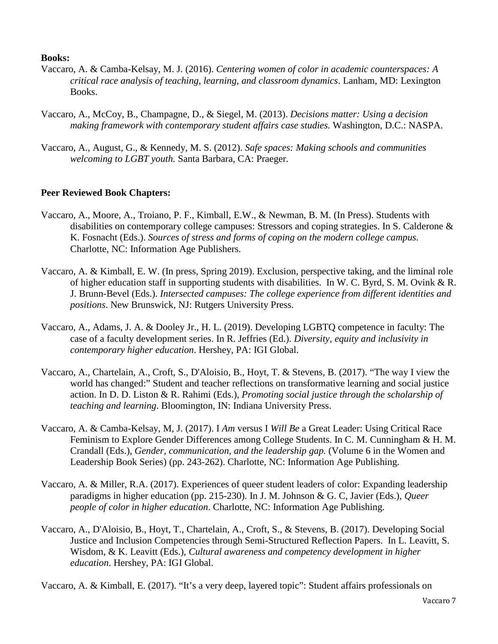#### **Books:**

- Vaccaro, A. & Camba-Kelsay, M. J. (2016). *Centering women of color in academic counterspaces: A critical race analysis of teaching, learning, and classroom dynamics*. Lanham, MD: Lexington Books.
- Vaccaro, A., McCoy, B., Champagne, D., & Siegel, M. (2013). *Decisions matter: Using a decision making framework with contemporary student affairs case studies.* Washington, D.C.: NASPA.
- Vaccaro, A., August, G., & Kennedy, M. S. (2012). *Safe spaces: Making schools and communities welcoming to LGBT youth.* Santa Barbara, CA: Praeger.

### **Peer Reviewed Book Chapters:**

- Vaccaro, A., Moore, A., Troiano, P. F., Kimball, E.W., & Newman, B. M. (In Press). Students with disabilities on contemporary college campuses: Stressors and coping strategies. In S. Calderone & K. Fosnacht (Eds.). *Sources of stress and forms of coping on the modern college campus.*  Charlotte, NC: Information Age Publishers.
- Vaccaro, A. & Kimball, E. W. (In press, Spring 2019). Exclusion, perspective taking, and the liminal role of higher education staff in supporting students with disabilities. In W. C. Byrd, S. M. Ovink & R. J. Brunn-Bevel (Eds.). *Intersected campuses: The college experience from different identities and positions*. New Brunswick, NJ: Rutgers University Press.
- Vaccaro, A., Adams, J. A. & Dooley Jr., H. L. (2019). Developing LGBTQ competence in faculty: The case of a faculty development series. In R. Jeffries (Ed.). *Diversity, equity and inclusivity in contemporary higher education*. Hershey, PA: IGI Global.
- Vaccaro, A., Chartelain, A., Croft, S., D'Aloisio, B., Hoyt, T. & Stevens, B. (2017). "The way I view the world has changed:" Student and teacher reflections on transformative learning and social justice action. In D. D. Liston & R. Rahimi (Eds.), *Promoting social justice through the scholarship of teaching and learning*. Bloomington, IN: Indiana University Press.
- Vaccaro, A. & Camba-Kelsay, M, J. (2017). I *Am* versus I *Will Be* a Great Leader: Using Critical Race Feminism to Explore Gender Differences among College Students. In C. M. Cunningham & H. M. Crandall (Eds.), *Gender, communication, and the leadership gap.* (Volume 6 in the Women and Leadership Book Series) (pp. 243-262). Charlotte, NC: Information Age Publishing.
- Vaccaro, A. & Miller, R.A. (2017). Experiences of queer student leaders of color: Expanding leadership paradigms in higher education (pp. 215-230). In J. M. Johnson & G. C, Javier (Eds.), *Queer people of color in higher education*. Charlotte, NC: Information Age Publishing.
- Vaccaro, A., D'Aloisio, B., Hoyt, T., Chartelain, A., Croft, S., & Stevens, B. (2017). Developing Social Justice and Inclusion Competencies through Semi-Structured Reflection Papers. In L. Leavitt, S. Wisdom, & K. Leavitt (Eds.), *Cultural awareness and competency development in higher education*. Hershey, PA: IGI Global.

Vaccaro, A. & Kimball, E. (2017). "It's a very deep, layered topic": Student affairs professionals on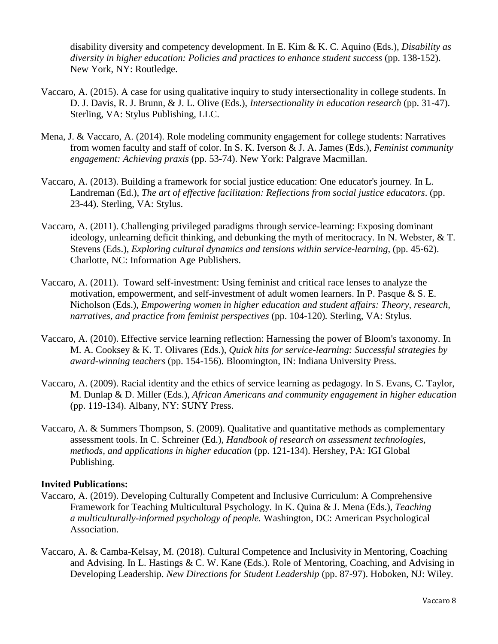disability diversity and competency development. In E. Kim & K. C. Aquino (Eds.), *Disability as diversity in higher education: Policies and practices to enhance student success* (pp. 138-152). New York, NY: Routledge.

- Vaccaro, A. (2015). A case for using qualitative inquiry to study intersectionality in college students. In D. J. Davis, R. J. Brunn, & J. L. Olive (Eds.), *Intersectionality in education research* (pp. 31-47). Sterling, VA: Stylus Publishing, LLC.
- Mena, J. & Vaccaro, A. (2014). Role modeling community engagement for college students: Narratives from women faculty and staff of color. In S. K. Iverson & J. A. James (Eds.), *Feminist community engagement: Achieving praxis* (pp. 53-74). New York: Palgrave Macmillan.
- Vaccaro, A. (2013). Building a framework for social justice education: One educator's journey*.* In L. Landreman (Ed.), *The art of effective facilitation: Reflections from social justice educators*. (pp. 23-44). Sterling, VA: Stylus.
- Vaccaro, A. (2011). Challenging privileged paradigms through service-learning: Exposing dominant ideology, unlearning deficit thinking, and debunking the myth of meritocracy. In N. Webster, & T. Stevens (Eds.), *Exploring cultural dynamics and tensions within service-learning*, (pp. 45-62). Charlotte, NC: Information Age Publishers.
- Vaccaro, A. (2011). Toward self-investment: Using feminist and critical race lenses to analyze the motivation, empowerment, and self-investment of adult women learners. In P. Pasque & S. E. Nicholson (Eds.), *Empowering women in higher education and student affairs: Theory, research, narratives, and practice from feminist perspectives* (pp. 104-120)*.* Sterling, VA: Stylus.
- Vaccaro, A. (2010). Effective service learning reflection: Harnessing the power of Bloom's taxonomy. In M. A. Cooksey & K. T. Olivares (Eds.), *Quick hits for service-learning: Successful strategies by award-winning teachers* (pp. 154-156). Bloomington, IN: Indiana University Press.
- Vaccaro, A. (2009). Racial identity and the ethics of service learning as pedagogy. In S. Evans, C. Taylor, M. Dunlap & D. Miller (Eds.), *African Americans and community engagement in higher education* (pp. 119-134). Albany, NY: SUNY Press.
- Vaccaro, A. & Summers Thompson, S. (2009). Qualitative and quantitative methods as complementary assessment tools. In C. Schreiner (Ed.), *Handbook of research on assessment technologies, methods, and applications in higher education* (pp. 121-134). Hershey, PA: IGI Global Publishing.

### **Invited Publications:**

- Vaccaro, A. (2019). Developing Culturally Competent and Inclusive Curriculum: A Comprehensive Framework for Teaching Multicultural Psychology. In K. Quina & J. Mena (Eds.), *Teaching a multiculturally-informed psychology of people.* Washington, DC: American Psychological Association.
- Vaccaro, A. & Camba-Kelsay, M. (2018). Cultural Competence and Inclusivity in Mentoring, Coaching and Advising. In L. Hastings & C. W. Kane (Eds.). Role of Mentoring, Coaching, and Advising in Developing Leadership. *New Directions for Student Leadership* (pp. 87-97). Hoboken, NJ: Wiley.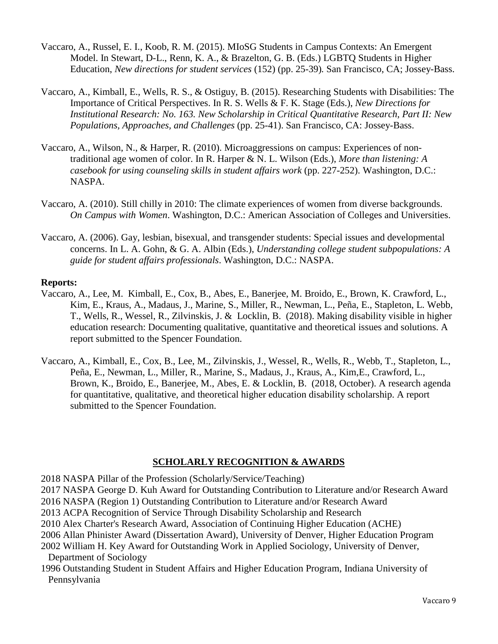- Vaccaro, A., Russel, E. I., Koob, R. M. (2015). MIoSG Students in Campus Contexts: An Emergent Model. In Stewart, D-L., Renn, K. A., & Brazelton, G. B. (Eds.) LGBTQ Students in Higher Education, *New directions for student services* (152) (pp. 25-39)*.* San Francisco, CA; Jossey-Bass.
- Vaccaro, A., Kimball, E., Wells, R. S., & Ostiguy, B. (2015). Researching Students with Disabilities: The Importance of Critical Perspectives. In R. S. Wells & F. K. Stage (Eds.), *New Directions for Institutional Research: No. 163. New Scholarship in Critical Quantitative Research, Part II: New Populations, Approaches, and Challenges* (pp. 25-41). San Francisco, CA: Jossey-Bass.
- Vaccaro, A., Wilson, N., & Harper, R. (2010). Microaggressions on campus: Experiences of nontraditional age women of color. In R. Harper & N. L. Wilson (Eds.), *More than listening: A casebook for using counseling skills in student affairs work (pp. 227-252).* Washington, D.C.: NASPA.
- Vaccaro, A. (2010). Still chilly in 2010: The climate experiences of women from diverse backgrounds. *On Campus with Women*. Washington, D.C.: American Association of Colleges and Universities.
- Vaccaro, A. (2006). Gay, lesbian, bisexual, and transgender students: Special issues and developmental concerns. In L. A. Gohn, & G. A. Albin (Eds.), *Understanding college student subpopulations: A guide for student affairs professionals*. Washington, D.C.: NASPA.

#### **Reports:**

- Vaccaro, A., Lee, M. Kimball, E., Cox, B., Abes, E., Banerjee, M. Broido, E., Brown, K. Crawford, L., Kim, E., Kraus, A., Madaus, J., Marine, S., Miller, R., Newman, L., Peña, E., Stapleton, L. Webb, T., Wells, R., Wessel, R., Zilvinskis, J. & Locklin, B. (2018). Making disability visible in higher education research: Documenting qualitative, quantitative and theoretical issues and solutions. A report submitted to the Spencer Foundation.
- Vaccaro, A., Kimball, E., Cox, B., Lee, M., Zilvinskis, J., Wessel, R., Wells, R., Webb, T., Stapleton, L., Peña, E., Newman, L., Miller, R., Marine, S., Madaus, J., Kraus, A., Kim,E., Crawford, L., Brown, K., Broido, E., Banerjee, M., Abes, E. & Locklin, B. (2018, October). A research agenda for quantitative, qualitative, and theoretical higher education disability scholarship. A report submitted to the Spencer Foundation.

### **SCHOLARLY RECOGNITION & AWARDS**

2018 NASPA Pillar of the Profession (Scholarly/Service/Teaching)

2017 NASPA George D. Kuh Award for Outstanding Contribution to Literature and/or Research Award

2016 NASPA (Region 1) Outstanding Contribution to Literature and/or Research Award

2013 ACPA Recognition of Service Through Disability Scholarship and Research

2010 Alex Charter's Research Award, Association of Continuing Higher Education (ACHE)

2006 Allan Phinister Award (Dissertation Award), University of Denver, Higher Education Program

2002 William H. Key Award for Outstanding Work in Applied Sociology, University of Denver, Department of Sociology

1996 Outstanding Student in Student Affairs and Higher Education Program, Indiana University of Pennsylvania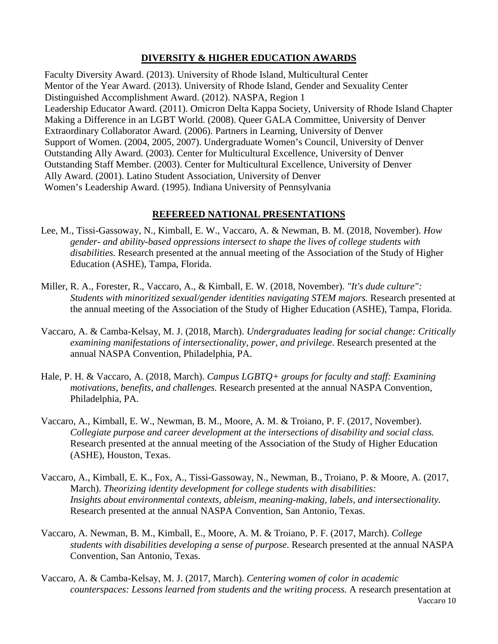# **DIVERSITY & HIGHER EDUCATION AWARDS**

Faculty Diversity Award. (2013). University of Rhode Island, Multicultural Center Mentor of the Year Award. (2013). University of Rhode Island, Gender and Sexuality Center Distinguished Accomplishment Award. (2012). NASPA, Region 1 Leadership Educator Award. (2011). Omicron Delta Kappa Society, University of Rhode Island Chapter Making a Difference in an LGBT World. (2008). Queer GALA Committee, University of Denver Extraordinary Collaborator Award. (2006). Partners in Learning, University of Denver Support of Women. (2004, 2005, 2007). Undergraduate Women's Council, University of Denver Outstanding Ally Award. (2003). Center for Multicultural Excellence, University of Denver Outstanding Staff Member. (2003). Center for Multicultural Excellence, University of Denver Ally Award. (2001). Latino Student Association, University of Denver Women's Leadership Award. (1995). Indiana University of Pennsylvania

# **REFEREED NATIONAL PRESENTATIONS**

- Lee, M., Tissi-Gassoway, N., Kimball, E. W., Vaccaro, A. & Newman, B. M. (2018, November). *How gender- and ability-based oppressions intersect to shape the lives of college students with disabilities.* Research presented at the annual meeting of the Association of the Study of Higher Education (ASHE), Tampa, Florida.
- Miller, R. A., Forester, R., Vaccaro, A., & Kimball, E. W. (2018, November). *"It's dude culture": Students with minoritized sexual/gender identities navigating STEM majors.* Research presented at the annual meeting of the Association of the Study of Higher Education (ASHE), Tampa, Florida.
- Vaccaro, A. & Camba-Kelsay, M. J. (2018, March). *Undergraduates leading for social change: Critically examining manifestations of intersectionality, power, and privilege*. Research presented at the annual NASPA Convention, Philadelphia, PA.
- Hale, P. H. & Vaccaro, A. (2018, March). *Campus LGBTQ+ groups for faculty and staff: Examining motivations, benefits, and challenges.* Research presented at the annual NASPA Convention, Philadelphia, PA.
- Vaccaro, A., Kimball, E. W., Newman, B. M., Moore, A. M. & Troiano, P. F. (2017, November). *Collegiate purpose and career development at the intersections of disability and social class.*  Research presented at the annual meeting of the Association of the Study of Higher Education (ASHE), Houston, Texas.
- Vaccaro, A., Kimball, E. K., Fox, A., Tissi-Gassoway, N., Newman, B., Troiano, P. & Moore, A. (2017, March). *Theorizing identity development for college students with disabilities: Insights about environmental contexts, ableism, meaning-making, labels, and intersectionality.*  Research presented at the annual NASPA Convention, San Antonio, Texas.
- Vaccaro, A. Newman, B. M., Kimball, E., Moore, A. M. & Troiano, P. F. (2017, March). *College students with disabilities developing a sense of purpose*. Research presented at the annual NASPA Convention, San Antonio, Texas.
- Vaccaro 10 Vaccaro, A. & Camba-Kelsay, M. J. (2017, March). *Centering women of color in academic counterspaces: Lessons learned from students and the writing process.* A research presentation at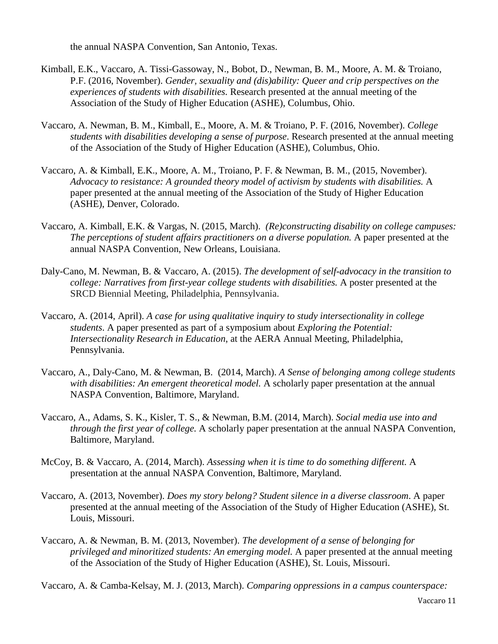the annual NASPA Convention, San Antonio, Texas.

- Kimball, E.K., Vaccaro, A. Tissi-Gassoway, N., Bobot, D., Newman, B. M., Moore, A. M. & Troiano, P.F. (2016, November). *Gender, sexuality and (dis)ability: Queer and crip perspectives on the experiences of students with disabilities.* Research presented at the annual meeting of the Association of the Study of Higher Education (ASHE), Columbus, Ohio.
- Vaccaro, A. Newman, B. M., Kimball, E., Moore, A. M. & Troiano, P. F. (2016, November). *College students with disabilities developing a sense of purpose*. Research presented at the annual meeting of the Association of the Study of Higher Education (ASHE), Columbus, Ohio.
- Vaccaro, A. & Kimball, E.K., Moore, A. M., Troiano, P. F. & Newman, B. M., (2015, November). *Advocacy to resistance: A grounded theory model of activism by students with disabilities.* A paper presented at the annual meeting of the Association of the Study of Higher Education (ASHE), Denver, Colorado.
- Vaccaro, A. Kimball, E.K. & Vargas, N. (2015, March). *(Re)constructing disability on college campuses: The perceptions of student affairs practitioners on a diverse population.* A paper presented at the annual NASPA Convention, New Orleans, Louisiana.
- Daly-Cano, M. Newman, B. & Vaccaro, A. (2015). *The development of self-advocacy in the transition to college: Narratives from first-year college students with disabilities.* A poster presented at the SRCD Biennial Meeting, Philadelphia, Pennsylvania.
- Vaccaro, A. (2014, April). *A case for using qualitative inquiry to study intersectionality in college students*. A paper presented as part of a symposium about *Exploring the Potential: Intersectionality Research in Education*, at the AERA Annual Meeting, Philadelphia, Pennsylvania.
- Vaccaro, A., Daly-Cano, M. & Newman, B. (2014, March). *A Sense of belonging among college students with disabilities: An emergent theoretical model.* A scholarly paper presentation at the annual NASPA Convention, Baltimore, Maryland.
- Vaccaro, A., Adams, S. K., Kisler, T. S., & Newman, B.M. (2014, March). *Social media use into and through the first year of college.* A scholarly paper presentation at the annual NASPA Convention, Baltimore, Maryland.
- McCoy, B. & Vaccaro, A. (2014, March). *Assessing when it is time to do something different.* A presentation at the annual NASPA Convention, Baltimore, Maryland.
- Vaccaro, A. (2013, November). *Does my story belong? Student silence in a diverse classroom*. A paper presented at the annual meeting of the Association of the Study of Higher Education (ASHE), St. Louis, Missouri.
- Vaccaro, A. & Newman, B. M. (2013, November). *The development of a sense of belonging for privileged and minoritized students: An emerging model.* A paper presented at the annual meeting of the Association of the Study of Higher Education (ASHE), St. Louis, Missouri.

Vaccaro, A. & Camba-Kelsay, M. J. (2013, March). *Comparing oppressions in a campus counterspace:*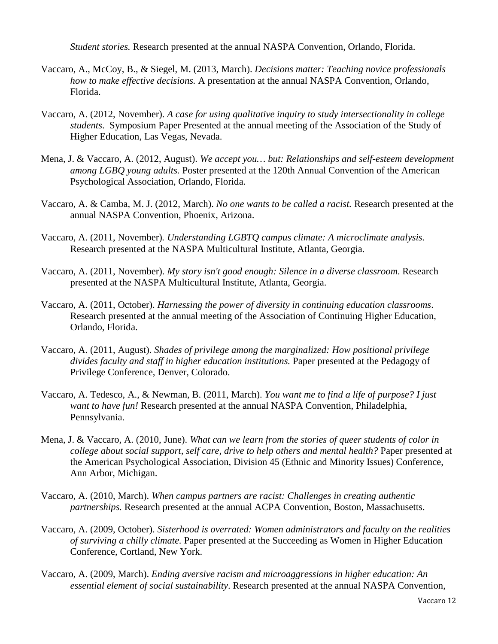*Student stories.* Research presented at the annual NASPA Convention, Orlando, Florida.

- Vaccaro, A., McCoy, B., & Siegel, M. (2013, March). *Decisions matter: Teaching novice professionals how to make effective decisions.* A presentation at the annual NASPA Convention, Orlando, Florida.
- Vaccaro, A. (2012, November). *A case for using qualitative inquiry to study intersectionality in college students*. Symposium Paper Presented at the annual meeting of the Association of the Study of Higher Education, Las Vegas, Nevada.
- Mena, J. & Vaccaro, A. (2012, August). *We accept you… but: Relationships and self-esteem development among LGBQ young adults.* Poster presented at the 120th Annual Convention of the American Psychological Association, Orlando, Florida.
- Vaccaro, A. & Camba, M. J. (2012, March). *No one wants to be called a racist.* Research presented at the annual NASPA Convention, Phoenix, Arizona.
- Vaccaro, A. (2011, November)*. Understanding LGBTQ campus climate: A microclimate analysis.* Research presented at the NASPA Multicultural Institute, Atlanta, Georgia.
- Vaccaro, A. (2011, November). *My story isn't good enough: Silence in a diverse classroom*. Research presented at the NASPA Multicultural Institute, Atlanta, Georgia.
- Vaccaro, A. (2011, October). *Harnessing the power of diversity in continuing education classrooms*. Research presented at the annual meeting of the Association of Continuing Higher Education, Orlando, Florida.
- Vaccaro, A. (2011, August). *Shades of privilege among the marginalized: How positional privilege divides faculty and staff in higher education institutions.* Paper presented at the Pedagogy of Privilege Conference, Denver, Colorado.
- Vaccaro, A. Tedesco, A., & Newman, B. (2011, March). *You want me to find a life of purpose? I just want to have fun!* Research presented at the annual NASPA Convention, Philadelphia, Pennsylvania.
- Mena, J. & Vaccaro, A. (2010, June). *What can we learn from the stories of queer students of color in college about social support, self care, drive to help others and mental health?* Paper presented at the American Psychological Association, Division 45 (Ethnic and Minority Issues) Conference, Ann Arbor, Michigan.
- Vaccaro, A. (2010, March). *When campus partners are racist: Challenges in creating authentic partnerships.* Research presented at the annual ACPA Convention, Boston, Massachusetts.
- Vaccaro, A. (2009, October). *Sisterhood is overrated: Women administrators and faculty on the realities of surviving a chilly climate.* Paper presented at the Succeeding as Women in Higher Education Conference, Cortland, New York.
- Vaccaro, A. (2009, March). *Ending aversive racism and microaggressions in higher education: An essential element of social sustainability*. Research presented at the annual NASPA Convention,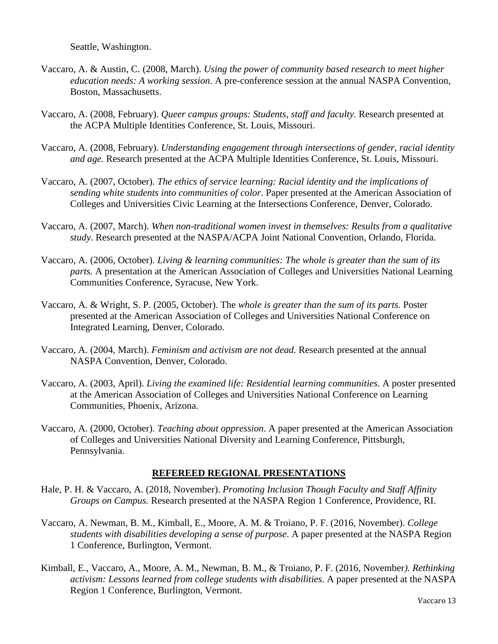Seattle, Washington.

- Vaccaro, A. & Austin, C. (2008, March). *Using the power of community based research to meet higher education needs: A working session*. A pre-conference session at the annual NASPA Convention, Boston, Massachusetts.
- Vaccaro, A. (2008, February). *Queer campus groups: Students, staff and faculty.* Research presented at the ACPA Multiple Identities Conference, St. Louis, Missouri.
- Vaccaro, A. (2008, February). *Understanding engagement through intersections of gender, racial identity and age.* Research presented at the ACPA Multiple Identities Conference, St. Louis, Missouri.
- Vaccaro, A. (2007, October). *The ethics of service learning: Racial identity and the implications of sending white students into communities of color*. Paper presented at the American Association of Colleges and Universities Civic Learning at the Intersections Conference, Denver, Colorado.
- Vaccaro, A. (2007, March). *When non-traditional women invest in themselves: Results from a qualitative study*. Research presented at the NASPA/ACPA Joint National Convention, Orlando, Florida.
- Vaccaro, A. (2006, October). *Living & learning communities: The whole is greater than the sum of its parts.* A presentation at the American Association of Colleges and Universities National Learning Communities Conference, Syracuse, New York.
- Vaccaro, A. & Wright, S. P. (2005, October). The *whole is greater than the sum of its parts.* Poster presented at the American Association of Colleges and Universities National Conference on Integrated Learning, Denver, Colorado.
- Vaccaro, A. (2004, March). *Feminism and activism are not dead.* Research presented at the annual NASPA Convention, Denver, Colorado.
- Vaccaro, A. (2003, April). *Living the examined life: Residential learning communities.* A poster presented at the American Association of Colleges and Universities National Conference on Learning Communities, Phoenix, Arizona.
- Vaccaro, A. (2000, October). *Teaching about oppression*. A paper presented at the American Association of Colleges and Universities National Diversity and Learning Conference, Pittsburgh, Pennsylvania.

### **REFEREED REGIONAL PRESENTATIONS**

- Hale, P. H. & Vaccaro, A. (2018, November). *Promoting Inclusion Though Faculty and Staff Affinity Groups on Campus.* Research presented at the NASPA Region 1 Conference, Providence, RI.
- Vaccaro, A. Newman, B. M., Kimball, E., Moore, A. M. & Troiano, P. F. (2016, November). *College students with disabilities developing a sense of purpose*. A paper presented at the NASPA Region 1 Conference, Burlington, Vermont.
- Kimball, E., Vaccaro, A., Moore, A. M., Newman, B. M., & Troiano, P. F. (2016, November*). Rethinking activism: Lessons learned from college students with disabilities*. A paper presented at the NASPA Region 1 Conference, Burlington, Vermont.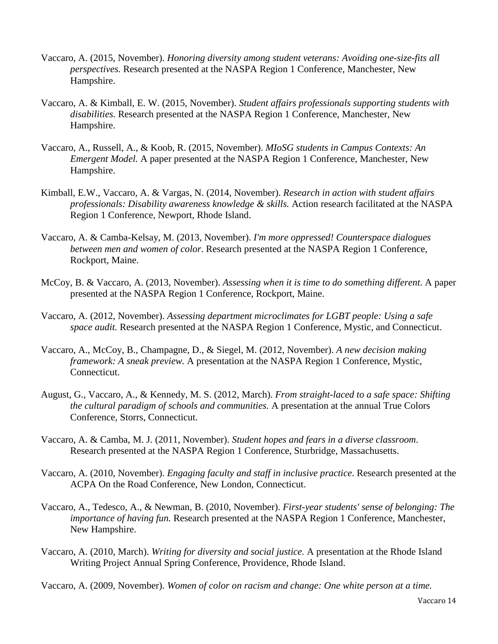- Vaccaro, A. (2015, November). *Honoring diversity among student veterans: Avoiding one-size-fits all perspectives.* Research presented at the NASPA Region 1 Conference, Manchester, New Hampshire.
- Vaccaro, A. & Kimball, E. W. (2015, November). *Student affairs professionals supporting students with disabilities.* Research presented at the NASPA Region 1 Conference, Manchester, New Hampshire.
- Vaccaro, A., Russell, A., & Koob, R. (2015, November). *MIoSG students in Campus Contexts: An Emergent Model.* A paper presented at the NASPA Region 1 Conference, Manchester, New Hampshire.
- Kimball, E.W., Vaccaro, A. & Vargas, N. (2014, November). *Research in action with student affairs professionals: Disability awareness knowledge & skills.* Action research facilitated at the NASPA Region 1 Conference, Newport, Rhode Island.
- Vaccaro, A. & Camba-Kelsay, M. (2013, November). *I'm more oppressed! Counterspace dialogues between men and women of color*. Research presented at the NASPA Region 1 Conference, Rockport, Maine.
- McCoy, B. & Vaccaro, A. (2013, November). *Assessing when it is time to do something different*. A paper presented at the NASPA Region 1 Conference, Rockport, Maine.
- Vaccaro, A. (2012, November). *Assessing department microclimates for LGBT people: Using a safe space audit.* Research presented at the NASPA Region 1 Conference, Mystic, and Connecticut.
- Vaccaro, A., McCoy, B., Champagne, D., & Siegel, M. (2012, November). *A new decision making framework: A sneak preview.* A presentation at the NASPA Region 1 Conference, Mystic, Connecticut.
- August, G., Vaccaro, A., & Kennedy, M. S. (2012, March). *From straight-laced to a safe space: Shifting the cultural paradigm of schools and communities.* A presentation at the annual True Colors Conference, Storrs, Connecticut.
- Vaccaro, A. & Camba, M. J. (2011, November). *Student hopes and fears in a diverse classroom*. Research presented at the NASPA Region 1 Conference, Sturbridge, Massachusetts.
- Vaccaro, A. (2010, November). *Engaging faculty and staff in inclusive practice*. Research presented at the ACPA On the Road Conference, New London, Connecticut.
- Vaccaro, A., Tedesco, A., & Newman, B. (2010, November). *First-year students' sense of belonging: The importance of having fun.* Research presented at the NASPA Region 1 Conference, Manchester, New Hampshire.
- Vaccaro, A. (2010, March). *Writing for diversity and social justice.* A presentation at the Rhode Island Writing Project Annual Spring Conference, Providence, Rhode Island.

Vaccaro, A. (2009, November). *Women of color on racism and change: One white person at a time.*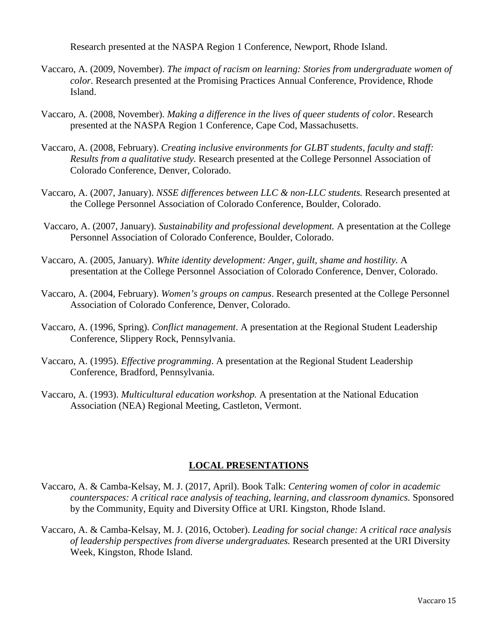Research presented at the NASPA Region 1 Conference, Newport, Rhode Island.

- Vaccaro, A. (2009, November). *The impact of racism on learning: Stories from undergraduate women of color.* Research presented at the Promising Practices Annual Conference, Providence, Rhode Island.
- Vaccaro, A. (2008, November). *Making a difference in the lives of queer students of color*. Research presented at the NASPA Region 1 Conference, Cape Cod, Massachusetts.
- Vaccaro, A. (2008, February). *Creating inclusive environments for GLBT students, faculty and staff: Results from a qualitative study.* Research presented at the College Personnel Association of Colorado Conference, Denver, Colorado.
- Vaccaro, A. (2007, January). *NSSE differences between LLC & non-LLC students.* Research presented at the College Personnel Association of Colorado Conference, Boulder, Colorado.
- Vaccaro, A. (2007, January). *Sustainability and professional development.* A presentation at the College Personnel Association of Colorado Conference, Boulder, Colorado.
- Vaccaro, A. (2005, January). *White identity development: Anger, guilt, shame and hostility.* A presentation at the College Personnel Association of Colorado Conference, Denver, Colorado.
- Vaccaro, A. (2004, February). *Women's groups on campus*. Research presented at the College Personnel Association of Colorado Conference, Denver, Colorado.
- Vaccaro, A. (1996, Spring). *Conflict management*. A presentation at the Regional Student Leadership Conference, Slippery Rock, Pennsylvania.
- Vaccaro, A. (1995). *Effective programming*. A presentation at the Regional Student Leadership Conference, Bradford, Pennsylvania.
- Vaccaro, A. (1993). *Multicultural education workshop.* A presentation at the National Education Association (NEA) Regional Meeting, Castleton, Vermont.

### **LOCAL PRESENTATIONS**

- Vaccaro, A. & Camba-Kelsay, M. J. (2017, April). Book Talk: *Centering women of color in academic counterspaces: A critical race analysis of teaching, learning, and classroom dynamics.* Sponsored by the Community, Equity and Diversity Office at URI. Kingston, Rhode Island.
- Vaccaro, A. & Camba-Kelsay, M. J. (2016, October). *Leading for social change: A critical race analysis of leadership perspectives from diverse undergraduates.* Research presented at the URI Diversity Week, Kingston, Rhode Island.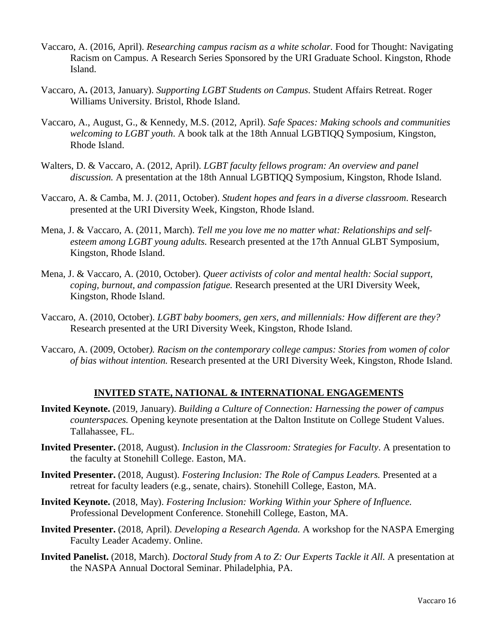- Vaccaro, A. (2016, April). *Researching campus racism as a white scholar.* Food for Thought: Navigating Racism on Campus. A Research Series Sponsored by the URI Graduate School. Kingston, Rhode Island.
- Vaccaro, A**.** (2013, January). *Supporting LGBT Students on Campus*. Student Affairs Retreat. Roger Williams University. Bristol, Rhode Island.
- Vaccaro, A., August, G., & Kennedy, M.S. (2012, April). *Safe Spaces: Making schools and communities welcoming to LGBT youth*. A book talk at the 18th Annual LGBTIQQ Symposium, Kingston, Rhode Island.
- Walters, D. & Vaccaro, A. (2012, April). *LGBT faculty fellows program: An overview and panel discussion.* A presentation at the 18th Annual LGBTIQQ Symposium, Kingston, Rhode Island.
- Vaccaro, A. & Camba, M. J. (2011, October). *Student hopes and fears in a diverse classroom*. Research presented at the URI Diversity Week, Kingston, Rhode Island.
- Mena, J. & Vaccaro, A. (2011, March). *Tell me you love me no matter what: Relationships and selfesteem among LGBT young adults.* Research presented at the 17th Annual GLBT Symposium, Kingston, Rhode Island.
- Mena, J. & Vaccaro, A. (2010, October). *Queer activists of color and mental health: Social support, coping, burnout, and compassion fatigue.* Research presented at the URI Diversity Week, Kingston, Rhode Island.
- Vaccaro, A. (2010, October). *LGBT baby boomers, gen xers, and millennials: How different are they?* Research presented at the URI Diversity Week, Kingston, Rhode Island.
- Vaccaro, A. (2009, October*). Racism on the contemporary college campus: Stories from women of color of bias without intention.* Research presented at the URI Diversity Week, Kingston, Rhode Island.

### **INVITED STATE, NATIONAL & INTERNATIONAL ENGAGEMENTS**

- **Invited Keynote.** (2019, January). *Building a Culture of Connection: Harnessing the power of campus counterspaces.* Opening keynote presentation at the Dalton Institute on College Student Values. Tallahassee, FL.
- **Invited Presenter.** (2018, August). *Inclusion in the Classroom: Strategies for Faculty*. A presentation to the faculty at Stonehill College. Easton, MA.
- **Invited Presenter.** (2018, August). *Fostering Inclusion: The Role of Campus Leaders.* Presented at a retreat for faculty leaders (e.g., senate, chairs). Stonehill College, Easton, MA.
- **Invited Keynote.** (2018, May). *Fostering Inclusion: Working Within your Sphere of Influence.* Professional Development Conference. Stonehill College, Easton, MA.
- **Invited Presenter.** (2018, April). *Developing a Research Agenda.* A workshop for the NASPA Emerging Faculty Leader Academy. Online.
- **Invited Panelist.** (2018, March). *Doctoral Study from A to Z: Our Experts Tackle it All.* A presentation at the NASPA Annual Doctoral Seminar. Philadelphia, PA.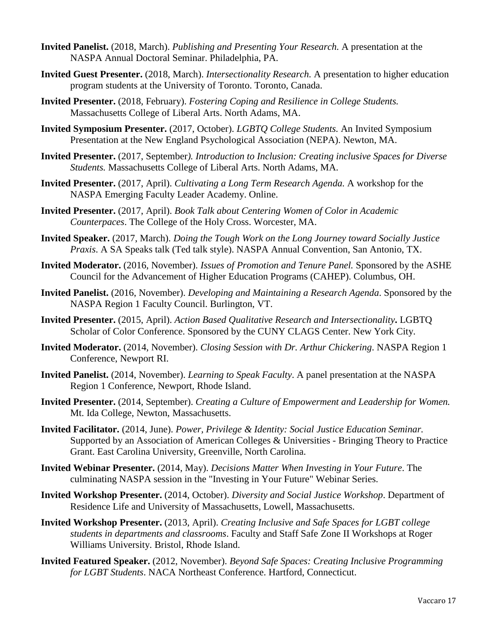- **Invited Panelist.** (2018, March). *Publishing and Presenting Your Research.* A presentation at the NASPA Annual Doctoral Seminar. Philadelphia, PA.
- **Invited Guest Presenter.** (2018, March). *Intersectionality Research.* A presentation to higher education program students at the University of Toronto. Toronto, Canada.
- **Invited Presenter.** (2018, February). *Fostering Coping and Resilience in College Students.*  Massachusetts College of Liberal Arts. North Adams, MA.
- **Invited Symposium Presenter.** (2017, October). *LGBTQ College Students.* An Invited Symposium Presentation at the New England Psychological Association (NEPA). Newton, MA.
- **Invited Presenter.** (2017, September*). Introduction to Inclusion: Creating inclusive Spaces for Diverse Students.* Massachusetts College of Liberal Arts. North Adams, MA.
- **Invited Presenter.** (2017, April). *Cultivating a Long Term Research Agenda.* A workshop for the NASPA Emerging Faculty Leader Academy. Online.
- **Invited Presenter.** (2017, April). *Book Talk about Centering Women of Color in Academic Counterpaces*. The College of the Holy Cross. Worcester, MA.
- **Invited Speaker.** (2017, March). *Doing the Tough Work on the Long Journey toward Socially Justice Praxis*. A SA Speaks talk (Ted talk style). NASPA Annual Convention, San Antonio, TX.
- **Invited Moderator.** (2016, November). *Issues of Promotion and Tenure Panel.* Sponsored by the ASHE Council for the Advancement of Higher Education Programs (CAHEP). Columbus, OH.
- **Invited Panelist.** (2016, November). *Developing and Maintaining a Research Agenda*. Sponsored by the NASPA Region 1 Faculty Council. Burlington, VT.
- **Invited Presenter.** (2015, April). *Action Based Qualitative Research and Intersectionality***.** LGBTQ Scholar of Color Conference. Sponsored by the CUNY CLAGS Center. New York City.
- **Invited Moderator.** (2014, November). *Closing Session with Dr. Arthur Chickering*. NASPA Region 1 Conference, Newport RI.
- **Invited Panelist.** (2014, November). *Learning to Speak Faculty*. A panel presentation at the NASPA Region 1 Conference, Newport, Rhode Island.
- **Invited Presenter.** (2014, September). *Creating a Culture of Empowerment and Leadership for Women.* Mt. Ida College, Newton, Massachusetts.
- **Invited Facilitator.** (2014, June). *Power, Privilege & Identity: Social Justice Education Seminar.*  Supported by an Association of American Colleges & Universities - Bringing Theory to Practice Grant. East Carolina University, Greenville, North Carolina.
- **Invited Webinar Presenter.** (2014, May). *Decisions Matter When Investing in Your Future*. The culminating NASPA session in the "Investing in Your Future" Webinar Series.
- **Invited Workshop Presenter.** (2014, October). *Diversity and Social Justice Workshop*. Department of Residence Life and University of Massachusetts, Lowell, Massachusetts.
- **Invited Workshop Presenter.** (2013, April). *Creating Inclusive and Safe Spaces for LGBT college students in departments and classrooms*. Faculty and Staff Safe Zone II Workshops at Roger Williams University. Bristol, Rhode Island.
- **Invited Featured Speaker.** (2012, November). *Beyond Safe Spaces: Creating Inclusive Programming for LGBT Students*. NACA Northeast Conference. Hartford, Connecticut.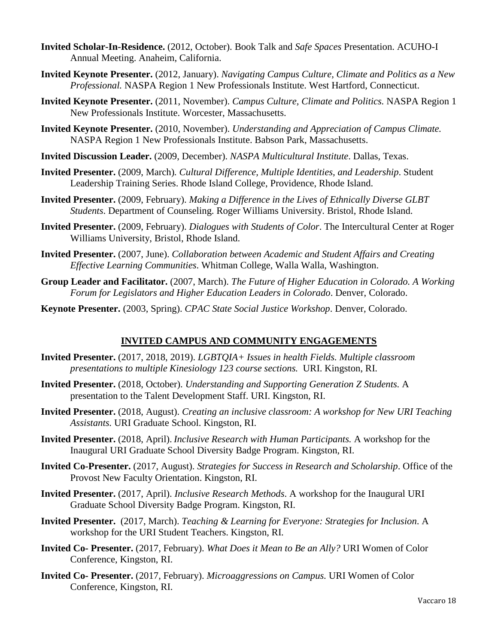- **Invited Scholar-In-Residence.** (2012, October). Book Talk and *Safe Spaces* Presentation. ACUHO-I Annual Meeting. Anaheim, California.
- **Invited Keynote Presenter.** (2012, January). *Navigating Campus Culture, Climate and Politics as a New Professional.* NASPA Region 1 New Professionals Institute. West Hartford, Connecticut.
- **Invited Keynote Presenter.** (2011, November). *Campus Culture, Climate and Politics.* NASPA Region 1 New Professionals Institute. Worcester, Massachusetts.
- **Invited Keynote Presenter.** (2010, November). *Understanding and Appreciation of Campus Climate.* NASPA Region 1 New Professionals Institute. Babson Park, Massachusetts.
- **Invited Discussion Leader.** (2009, December). *NASPA Multicultural Institute*. Dallas, Texas.
- **Invited Presenter.** (2009, March)*. Cultural Difference, Multiple Identities, and Leadership*. Student Leadership Training Series. Rhode Island College, Providence, Rhode Island.
- **Invited Presenter.** (2009, February). *Making a Difference in the Lives of Ethnically Diverse GLBT Students*. Department of Counseling. Roger Williams University. Bristol, Rhode Island.
- **Invited Presenter.** (2009, February). *Dialogues with Students of Color*. The Intercultural Center at Roger Williams University, Bristol, Rhode Island.
- **Invited Presenter.** (2007, June). *Collaboration between Academic and Student Affairs and Creating Effective Learning Communities*. Whitman College, Walla Walla, Washington.
- **Group Leader and Facilitator.** (2007, March). *The Future of Higher Education in Colorado. A Working Forum for Legislators and Higher Education Leaders in Colorado*. Denver, Colorado.
- **Keynote Presenter.** (2003, Spring). *CPAC State Social Justice Workshop*. Denver, Colorado.

## **INVITED CAMPUS AND COMMUNITY ENGAGEMENTS**

- **Invited Presenter.** (2017, 2018, 2019). *LGBTQIA+ Issues in health Fields. Multiple classroom presentations to multiple Kinesiology 123 course sections.* URI. Kingston, RI.
- **Invited Presenter.** (2018, October). *Understanding and Supporting Generation Z Students.* A presentation to the Talent Development Staff. URI. Kingston, RI.
- **Invited Presenter.** (2018, August). *Creating an inclusive classroom: A workshop for New URI Teaching Assistants.* URI Graduate School. Kingston, RI.
- **Invited Presenter.** (2018, April). *Inclusive Research with Human Participants.* A workshop for the Inaugural URI Graduate School Diversity Badge Program. Kingston, RI.
- **Invited Co-Presenter.** (2017, August). *Strategies for Success in Research and Scholarship*. Office of the Provost New Faculty Orientation. Kingston, RI.
- **Invited Presenter.** (2017, April). *Inclusive Research Methods*. A workshop for the Inaugural URI Graduate School Diversity Badge Program. Kingston, RI.
- **Invited Presenter.** (2017, March). *Teaching & Learning for Everyone: Strategies for Inclusion*. A workshop for the URI Student Teachers. Kingston, RI.
- **Invited Co- Presenter.** (2017, February). *What Does it Mean to Be an Ally?* URI Women of Color Conference, Kingston, RI.
- **Invited Co- Presenter.** (2017, February). *Microaggressions on Campus.* URI Women of Color Conference, Kingston, RI.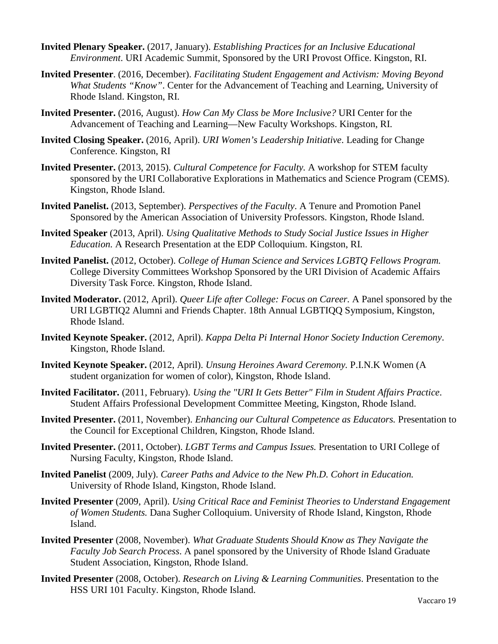- **Invited Plenary Speaker.** (2017, January). *Establishing Practices for an Inclusive Educational Environment*. URI Academic Summit, Sponsored by the URI Provost Office. Kingston, RI.
- **Invited Presenter**. (2016, December). *Facilitating Student Engagement and Activism: Moving Beyond What Students "Know"*. Center for the Advancement of Teaching and Learning, University of Rhode Island. Kingston, RI.
- **Invited Presenter.** (2016, August). *How Can My Class be More Inclusive?* URI Center for the Advancement of Teaching and Learning—New Faculty Workshops. Kingston, RI.
- **Invited Closing Speaker.** (2016, April). *URI Women's Leadership Initiative*. Leading for Change Conference. Kingston, RI
- **Invited Presenter.** (2013, 2015). *Cultural Competence for Faculty.* A workshop for STEM faculty sponsored by the URI Collaborative Explorations in Mathematics and Science Program (CEMS). Kingston, Rhode Island.
- **Invited Panelist.** (2013, September). *Perspectives of the Faculty*. A Tenure and Promotion Panel Sponsored by the American Association of University Professors. Kingston, Rhode Island.
- **Invited Speaker** (2013, April). *Using Qualitative Methods to Study Social Justice Issues in Higher Education.* A Research Presentation at the EDP Colloquium. Kingston, RI.
- **Invited Panelist.** (2012, October). *College of Human Science and Services LGBTQ Fellows Program.*  College Diversity Committees Workshop Sponsored by the URI Division of Academic Affairs Diversity Task Force. Kingston, Rhode Island.
- **Invited Moderator.** (2012, April). *Queer Life after College: Focus on Career.* A Panel sponsored by the URI LGBTIQ2 Alumni and Friends Chapter. 18th Annual LGBTIQQ Symposium, Kingston, Rhode Island.
- **Invited Keynote Speaker.** (2012, April). *Kappa Delta Pi Internal Honor Society Induction Ceremony*. Kingston, Rhode Island.
- **Invited Keynote Speaker.** (2012, April). *Unsung Heroines Award Ceremony.* P.I.N.K Women (A student organization for women of color), Kingston, Rhode Island.
- **Invited Facilitator.** (2011, February). *Using the "URI It Gets Better" Film in Student Affairs Practice*. Student Affairs Professional Development Committee Meeting, Kingston, Rhode Island.
- **Invited Presenter.** (2011, November). *Enhancing our Cultural Competence as Educators.* Presentation to the Council for Exceptional Children, Kingston, Rhode Island.
- **Invited Presenter.** (2011, October). *LGBT Terms and Campus Issues.* Presentation to URI College of Nursing Faculty, Kingston, Rhode Island.
- **Invited Panelist** (2009, July). *Career Paths and Advice to the New Ph.D. Cohort in Education.* University of Rhode Island, Kingston, Rhode Island.
- **Invited Presenter** (2009, April). *Using Critical Race and Feminist Theories to Understand Engagement of Women Students.* Dana Sugher Colloquium. University of Rhode Island, Kingston, Rhode Island.
- **Invited Presenter** (2008, November). *What Graduate Students Should Know as They Navigate the Faculty Job Search Process*. A panel sponsored by the University of Rhode Island Graduate Student Association, Kingston, Rhode Island.
- **Invited Presenter** (2008, October). *Research on Living & Learning Communities*. Presentation to the HSS URI 101 Faculty. Kingston, Rhode Island.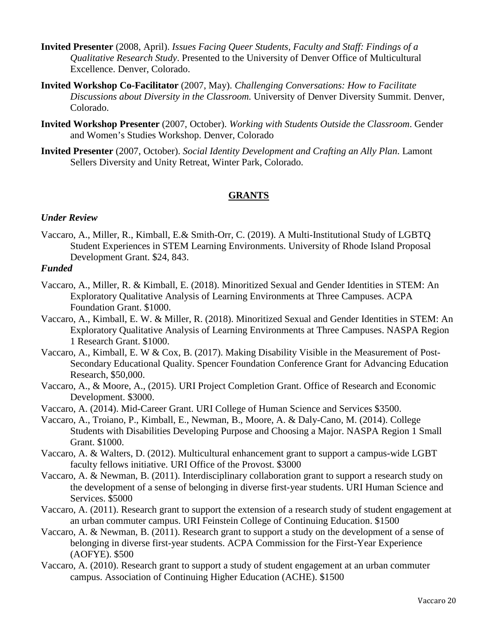- **Invited Presenter** (2008, April). *Issues Facing Queer Students, Faculty and Staff: Findings of a Qualitative Research Study*. Presented to the University of Denver Office of Multicultural Excellence. Denver, Colorado.
- **Invited Workshop Co-Facilitator** (2007, May). *Challenging Conversations: How to Facilitate Discussions about Diversity in the Classroom.* University of Denver Diversity Summit. Denver, Colorado.
- **Invited Workshop Presenter** (2007, October). *Working with Students Outside the Classroom*. Gender and Women's Studies Workshop. Denver, Colorado
- **Invited Presenter** (2007, October). *Social Identity Development and Crafting an Ally Plan*. Lamont Sellers Diversity and Unity Retreat, Winter Park, Colorado.

## **GRANTS**

#### *Under Review*

Vaccaro, A., Miller, R., Kimball, E.& Smith-Orr, C. (2019). A Multi-Institutional Study of LGBTQ Student Experiences in STEM Learning Environments. University of Rhode Island Proposal Development Grant. \$24, 843.

## *Funded*

- Vaccaro, A., Miller, R. & Kimball, E. (2018). Minoritized Sexual and Gender Identities in STEM: An Exploratory Qualitative Analysis of Learning Environments at Three Campuses. ACPA Foundation Grant. \$1000.
- Vaccaro, A., Kimball, E. W. & Miller, R. (2018). Minoritized Sexual and Gender Identities in STEM: An Exploratory Qualitative Analysis of Learning Environments at Three Campuses. NASPA Region 1 Research Grant. \$1000.
- Vaccaro, A., Kimball, E. W & Cox, B. (2017). Making Disability Visible in the Measurement of Post-Secondary Educational Quality. Spencer Foundation Conference Grant for Advancing Education Research, \$50,000.
- Vaccaro, A., & Moore, A., (2015). URI Project Completion Grant. Office of Research and Economic Development. \$3000.
- Vaccaro, A. (2014). Mid-Career Grant. URI College of Human Science and Services \$3500.
- Vaccaro, A., Troiano, P., Kimball, E., Newman, B., Moore, A. & Daly-Cano, M. (2014). College Students with Disabilities Developing Purpose and Choosing a Major. NASPA Region 1 Small Grant. \$1000.
- Vaccaro, A. & Walters, D. (2012). Multicultural enhancement grant to support a campus-wide LGBT faculty fellows initiative. URI Office of the Provost. \$3000
- Vaccaro, A. & Newman, B. (2011). Interdisciplinary collaboration grant to support a research study on the development of a sense of belonging in diverse first-year students. URI Human Science and Services. \$5000
- Vaccaro, A. (2011). Research grant to support the extension of a research study of student engagement at an urban commuter campus. URI Feinstein College of Continuing Education. \$1500
- Vaccaro, A. & Newman, B. (2011). Research grant to support a study on the development of a sense of belonging in diverse first-year students. ACPA Commission for the First-Year Experience (AOFYE). \$500
- Vaccaro, A. (2010). Research grant to support a study of student engagement at an urban commuter campus. Association of Continuing Higher Education (ACHE). \$1500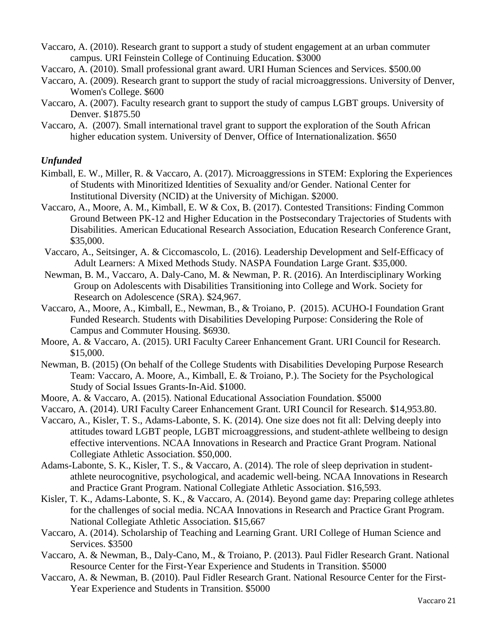Vaccaro, A. (2010). Research grant to support a study of student engagement at an urban commuter campus. URI Feinstein College of Continuing Education. \$3000

- Vaccaro, A. (2010). Small professional grant award. URI Human Sciences and Services. \$500.00
- Vaccaro, A. (2009). Research grant to support the study of racial microaggressions. University of Denver, Women's College. \$600
- Vaccaro, A. (2007). Faculty research grant to support the study of campus LGBT groups. University of Denver. \$1875.50
- Vaccaro, A. (2007). Small international travel grant to support the exploration of the South African higher education system. University of Denver, Office of Internationalization. \$650

### *Unfunded*

- Kimball, E. W., Miller, R. & Vaccaro, A. (2017). Microaggressions in STEM: Exploring the Experiences of Students with Minoritized Identities of Sexuality and/or Gender. National Center for Institutional Diversity (NCID) at the University of Michigan. \$2000.
- Vaccaro, A., Moore, A. M., Kimball, E. W & Cox, B. (2017). Contested Transitions: Finding Common Ground Between PK-12 and Higher Education in the Postsecondary Trajectories of Students with Disabilities. American Educational Research Association, Education Research Conference Grant, \$35,000.
- Vaccaro, A., Seitsinger, A. & Ciccomascolo, L. (2016). Leadership Development and Self-Efficacy of Adult Learners: A Mixed Methods Study. NASPA Foundation Large Grant. \$35,000.
- Newman, B. M., Vaccaro, A. Daly-Cano, M. & Newman, P. R. (2016). An Interdisciplinary Working Group on Adolescents with Disabilities Transitioning into College and Work. Society for Research on Adolescence (SRA). \$24,967.
- Vaccaro, A., Moore, A., Kimball, E., Newman, B., & Troiano, P. (2015). ACUHO-I Foundation Grant Funded Research. Students with Disabilities Developing Purpose: Considering the Role of Campus and Commuter Housing. \$6930.
- Moore, A. & Vaccaro, A. (2015). URI Faculty Career Enhancement Grant. URI Council for Research. \$15,000.
- Newman, B. (2015) (On behalf of the College Students with Disabilities Developing Purpose Research Team: Vaccaro, A. Moore, A., Kimball, E. & Troiano, P.). The Society for the Psychological Study of Social Issues Grants-In-Aid. \$1000.
- Moore, A. & Vaccaro, A. (2015). National Educational Association Foundation. \$5000
- Vaccaro, A. (2014). URI Faculty Career Enhancement Grant. URI Council for Research. \$14,953.80.
- Vaccaro, A., Kisler, T. S., Adams-Labonte, S. K. (2014). One size does not fit all: Delving deeply into attitudes toward LGBT people, LGBT microaggressions, and student-athlete wellbeing to design effective interventions. NCAA Innovations in Research and Practice Grant Program. National Collegiate Athletic Association. \$50,000.
- Adams-Labonte, S. K., Kisler, T. S., & Vaccaro, A. (2014). The role of sleep deprivation in studentathlete neurocognitive, psychological, and academic well-being. NCAA Innovations in Research and Practice Grant Program. National Collegiate Athletic Association. \$16,593.
- Kisler, T. K., Adams-Labonte, S. K., & Vaccaro, A. (2014). Beyond game day: Preparing college athletes for the challenges of social media. NCAA Innovations in Research and Practice Grant Program. National Collegiate Athletic Association. \$15,667
- Vaccaro, A. (2014). Scholarship of Teaching and Learning Grant. URI College of Human Science and Services. \$3500
- Vaccaro, A. & Newman, B., Daly-Cano, M., & Troiano, P. (2013). Paul Fidler Research Grant. National Resource Center for the First-Year Experience and Students in Transition. \$5000
- Vaccaro, A. & Newman, B. (2010). Paul Fidler Research Grant. National Resource Center for the First-Year Experience and Students in Transition. \$5000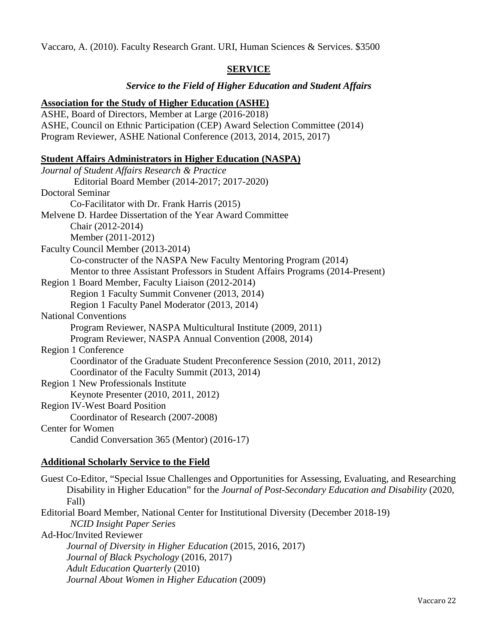Vaccaro, A. (2010). Faculty Research Grant. URI, Human Sciences & Services. \$3500

# **SERVICE**

### *Service to the Field of Higher Education and Student Affairs*

### **Association for the Study of Higher Education (ASHE)**

ASHE, Board of Directors, Member at Large (2016-2018) ASHE, Council on Ethnic Participation (CEP) Award Selection Committee (2014) Program Reviewer, ASHE National Conference (2013, 2014, 2015, 2017)

### **Student Affairs Administrators in Higher Education (NASPA)**

| Journal of Student Affairs Research & Practice                                  |
|---------------------------------------------------------------------------------|
| Editorial Board Member (2014-2017; 2017-2020)                                   |
| <b>Doctoral Seminar</b>                                                         |
| Co-Facilitator with Dr. Frank Harris (2015)                                     |
| Melvene D. Hardee Dissertation of the Year Award Committee                      |
| Chair (2012-2014)                                                               |
| Member (2011-2012)                                                              |
| Faculty Council Member (2013-2014)                                              |
| Co-constructer of the NASPA New Faculty Mentoring Program (2014)                |
| Mentor to three Assistant Professors in Student Affairs Programs (2014-Present) |
| Region 1 Board Member, Faculty Liaison (2012-2014)                              |
| Region 1 Faculty Summit Convener (2013, 2014)                                   |
| Region 1 Faculty Panel Moderator (2013, 2014)                                   |
| <b>National Conventions</b>                                                     |
| Program Reviewer, NASPA Multicultural Institute (2009, 2011)                    |
| Program Reviewer, NASPA Annual Convention (2008, 2014)                          |
| Region 1 Conference                                                             |
| Coordinator of the Graduate Student Preconference Session (2010, 2011, 2012)    |
| Coordinator of the Faculty Summit (2013, 2014)                                  |
| <b>Region 1 New Professionals Institute</b>                                     |
| Keynote Presenter (2010, 2011, 2012)                                            |
| <b>Region IV-West Board Position</b>                                            |
| Coordinator of Research (2007-2008)                                             |
| <b>Center for Women</b>                                                         |
| Candid Conversation 365 (Mentor) (2016-17)                                      |
|                                                                                 |

### **Additional Scholarly Service to the Field**

Guest Co-Editor, "Special Issue Challenges and Opportunities for Assessing, Evaluating, and Researching Disability in Higher Education" for the *Journal of Post-Secondary Education and Disability* (2020, Fall) Editorial Board Member, National Center for Institutional Diversity (December 2018-19) *NCID Insight Paper Series* Ad-Hoc/Invited Reviewer *Journal of Diversity in Higher Education* (2015, 2016, 2017) *Journal of Black Psychology* (2016, 2017) *Adult Education Quarterly* (2010) *Journal About Women in Higher Education* (2009)

Vaccaro 22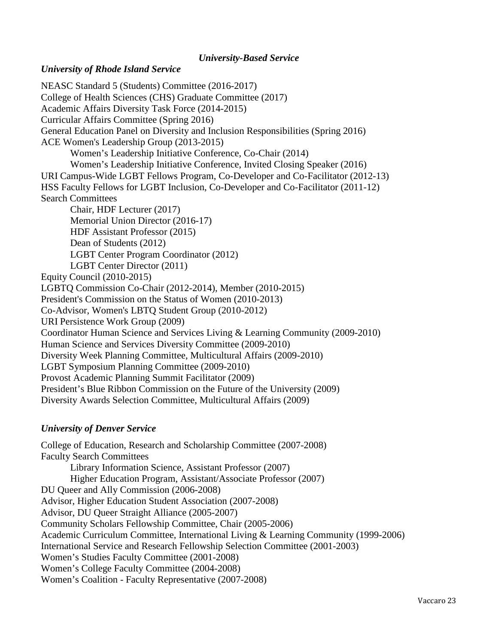#### *University-Based Service*

### *University of Rhode Island Service*

NEASC Standard 5 (Students) Committee (2016-2017) College of Health Sciences (CHS) Graduate Committee (2017) Academic Affairs Diversity Task Force (2014-2015) Curricular Affairs Committee (Spring 2016) General Education Panel on Diversity and Inclusion Responsibilities (Spring 2016) ACE Women's Leadership Group (2013-2015) Women's Leadership Initiative Conference, Co-Chair (2014) Women's Leadership Initiative Conference, Invited Closing Speaker (2016) URI Campus-Wide LGBT Fellows Program, Co-Developer and Co-Facilitator (2012-13) HSS Faculty Fellows for LGBT Inclusion, Co-Developer and Co-Facilitator (2011-12) Search Committees Chair, HDF Lecturer (2017) Memorial Union Director (2016-17) HDF Assistant Professor (2015) Dean of Students (2012) LGBT Center Program Coordinator (2012) LGBT Center Director (2011) Equity Council (2010-2015) LGBTQ Commission Co-Chair (2012-2014), Member (2010-2015) President's Commission on the Status of Women (2010-2013) Co-Advisor, Women's LBTQ Student Group (2010-2012) URI Persistence Work Group (2009) Coordinator Human Science and Services Living & Learning Community (2009-2010) Human Science and Services Diversity Committee (2009-2010) Diversity Week Planning Committee, Multicultural Affairs (2009-2010) LGBT Symposium Planning Committee (2009-2010) Provost Academic Planning Summit Facilitator (2009) President's Blue Ribbon Commission on the Future of the University (2009) Diversity Awards Selection Committee, Multicultural Affairs (2009)

## *University of Denver Service*

College of Education, Research and Scholarship Committee (2007-2008) Faculty Search Committees Library Information Science, Assistant Professor (2007) Higher Education Program, Assistant/Associate Professor (2007) DU Queer and Ally Commission (2006-2008) Advisor, Higher Education Student Association (2007-2008) Advisor, DU Queer Straight Alliance (2005-2007) Community Scholars Fellowship Committee, Chair (2005-2006) Academic Curriculum Committee, International Living & Learning Community (1999-2006) International Service and Research Fellowship Selection Committee (2001-2003) Women's Studies Faculty Committee (2001-2008) Women's College Faculty Committee (2004-2008) Women's Coalition - Faculty Representative (2007-2008)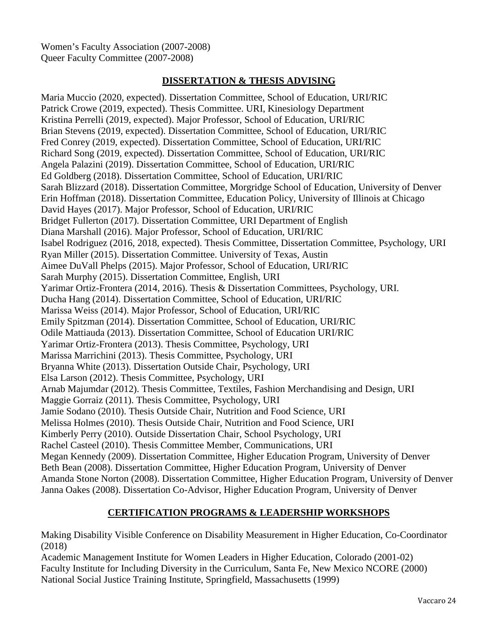Women's Faculty Association (2007-2008) Queer Faculty Committee (2007-2008)

### **DISSERTATION & THESIS ADVISING**

Maria Muccio (2020, expected). Dissertation Committee, School of Education, URI/RIC Patrick Crowe (2019, expected). Thesis Committee. URI, Kinesiology Department Kristina Perrelli (2019, expected). Major Professor, School of Education, URI/RIC Brian Stevens (2019, expected). Dissertation Committee, School of Education, URI/RIC Fred Conrey (2019, expected). Dissertation Committee, School of Education, URI/RIC Richard Song (2019, expected). Dissertation Committee, School of Education, URI/RIC Angela Palazini (2019). Dissertation Committee, School of Education, URI/RIC Ed Goldberg (2018). Dissertation Committee, School of Education, URI/RIC Sarah Blizzard (2018). Dissertation Committee, Morgridge School of Education, University of Denver Erin Hoffman (2018). Dissertation Committee, Education Policy, University of Illinois at Chicago David Hayes (2017). Major Professor, School of Education, URI/RIC Bridget Fullerton (2017). Dissertation Committee, URI Department of English Diana Marshall (2016). Major Professor, School of Education, URI/RIC Isabel Rodriguez (2016, 2018, expected). Thesis Committee, Dissertation Committee, Psychology, URI Ryan Miller (2015). Dissertation Committee. University of Texas, Austin Aimee DuVall Phelps (2015). Major Professor, School of Education, URI/RIC Sarah Murphy (2015). Dissertation Committee, English, URI Yarimar Ortiz-Frontera (2014, 2016). Thesis & Dissertation Committees, Psychology, URI. Ducha Hang (2014). Dissertation Committee, School of Education, URI/RIC Marissa Weiss (2014). Major Professor, School of Education, URI/RIC Emily Spitzman (2014). Dissertation Committee, School of Education, URI/RIC Odile Mattiauda (2013). Dissertation Committee, School of Education URI/RIC Yarimar Ortiz-Frontera (2013). Thesis Committee, Psychology, URI Marissa Marrichini (2013). Thesis Committee, Psychology, URI Bryanna White (2013). Dissertation Outside Chair, Psychology, URI Elsa Larson (2012). Thesis Committee, Psychology, URI Arnab Majumdar (2012). Thesis Committee, Textiles, Fashion Merchandising and Design, URI Maggie Gorraiz (2011). Thesis Committee, Psychology, URI Jamie Sodano (2010). Thesis Outside Chair, Nutrition and Food Science, URI Melissa Holmes (2010). Thesis Outside Chair, Nutrition and Food Science, URI Kimberly Perry (2010). Outside Dissertation Chair, School Psychology, URI Rachel Casteel (2010). Thesis Committee Member, Communications, URI Megan Kennedy (2009). Dissertation Committee, Higher Education Program, University of Denver Beth Bean (2008). Dissertation Committee, Higher Education Program, University of Denver Amanda Stone Norton (2008). Dissertation Committee, Higher Education Program, University of Denver Janna Oakes (2008). Dissertation Co-Advisor, Higher Education Program, University of Denver

## **CERTIFICATION PROGRAMS & LEADERSHIP WORKSHOPS**

Making Disability Visible Conference on Disability Measurement in Higher Education, Co-Coordinator (2018)

Academic Management Institute for Women Leaders in Higher Education, Colorado (2001-02) Faculty Institute for Including Diversity in the Curriculum, Santa Fe, New Mexico NCORE (2000) National Social Justice Training Institute, Springfield, Massachusetts (1999)